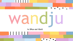

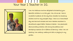# Your Year 1 Teacher in 1G.



I am Mrs Robinson and am delighted to be teaching your beautiful children in 1G this year. Mm, let me see. I have a wonderful husband, all the way from Canada, two amazing children and two very energetic dogs. I have run a home based day care here and overseas and was a teachers assistant in educational support before I became a teacher. I am passionate about providing children with strong foundations and developing a passion for a lifetime of learning. When I am not teaching I am cooking, making art dolls or playing in my garden.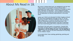## About Ms Read in 1B.



My name is Hayley Read and I am delighted to be the Year 1 Blue teacher at St Joseph's Primary School 2022. I graduated from Edith Cowan University in October of 2021 with a Bachelor of education – Early childhood studies. During my time at university, I was awarded a scholarship for my dedication to literacy improvement in the early years.

I grew up in Perth and attended St Hilda's Anglican School for Girls from Kindergarten through to Year 12. At the beginning of 2021 I moved to Northam with my partner and son following my partners teaching career. I am thrilled to have teaching position now also in Northam and have loved being part of this small knit community.

Teaching in the early years is my passion. A quote that resonates strongly with my outlook towards teaching is *"education is not the filling of a pail – but the lighting of a fire".* I hope to pass on my own enthusiasm for learning to the children I teach.

In my spare time I love cooking, gardening, painting and doing yoga.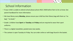## School Information

- If your child is unable to attend school please phone 9621 3500 before 9am to let us know. See parent handbook for more information.
- We have library every **Monday**, please ensure your child has their library bag with them as "no bag", "no book."
- Grade 1 children have **Sport** on **Tuesday** and **Friday** and are required to wear their sport uniforms.
- There is a digital newsletter, posted every two weeks.
- The canteen is open Tuesday to Friday. You can order online or with bags found in the basket.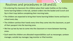### Routines and procedures in 1B and1G.

- On entering the classroom the children place their water bottles on the trolley, home learning folders in the tub, canteen orders into the basket and Crunch and Sip in their trays before completing their morning tasks.
- The children are expected to bring their home learning folders home and back to school every day.
- The children sanitise their hands every time they come into the classroom, as part of their passport into the learning zone.
- We line up two by two to come into the classroom or move between learning areas.
- Each week the children are allocated responsibilities such as messenger, canteen manager, outside toy manager, bag monitor or iPad monitor.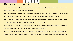### Behaviour Expectations 1G.

The children are expected to show respect to their teachers, others and the classroom. To keep their body to themselves and get the most out of their learning.

When the children perform a selfless act, helping another, being caring they are given a faction token which is collected by the years 6s and tallied. The winning faction receives extended play at recess or lunch.

In the classroom when the children line up two by two, follow instructions immediately, are doing their best, actively listen on the mat or give me a 'wow' moment they get a fuzzy.

When they get 10 fuzzies they have a spin on the wheel and can win wearing a funny hat, having stinky feet, crashing the computer, bringing a cuddly toy, or a dip in the treasure box.

However, if they are not making the awesome choices I know they can, they are given a first warning. If the behaviour persists they are asked to go to the thinking spot. The next step is buddy class and if necessary the principals office.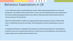### Behaviour Expectations in 1B

In Year 1 Blue there will be a positive behaviour system. Where appropriate behaviours are nurtured. During Term 1 the children will be awarded 'dots' on their chart for displaying school rules, taking pride in their work and demonstrating persistence and resilience. When they have earned 10 points they can choose an item out of the prize box.

When the children perform a selfless act, helping another, being caring they are given a faction token which is collected by the years 6s and tallied. The winning faction receives extended play at recess or lunch.

If inappropriate behaviour is displayed in the classroom a verbal warning is given first, if the behaviour continues a time out of a special activity will occur. If after the time out the behaviour still continues the student will be sent to a buddy class for reflection time.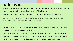## **Technologies**

In digital technology there will be a focus on problem solving, data collection and computational thinking as we build the children's knowledge and understanding of digital systems.

Developing a basic understanding of online environments and the need for safety considerations.

Digital technology lessons will be attached to other learning areas such as literacy, numeracy, science embedded to deepen the children's knowledge and understandings.

### **Science**

In Term 1 the Year 1 children will be learning biological science. The focus will be centred around defining and describing both living and non-living things.

The children will engage in scientific inquiry and infer simple cause-and-effect relationships from their observations and experiences. The will have the opportunity to conduct a variety of experiments to gain real-life experiences observing how changes can be large or small and happen quickly or slowly.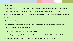## **Literacy**

Each morning the Year 1 children will have a daily literacy block. During this block they will engage with a variety of activities. For 20-30 minutes each day the children will engage in the Positive Literacy Development (PLD) program which provides targeted phonics instruction to develop their sound and word knowledge.

- Positive Literacy Development
- Talk for Writing for the first 5 weeks we are exploring narratives, their structure, grammar and punctuation with Little Red Riding Hood.
- Shared Reading- developing our comprehension skills.
- Handwriting developing their pencil grip and letter formation with the NSW foundation font.
- Speaking and listening- telling NEWS, learning public speaking and active listening.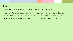### **HASS**

During Term 1 the children will be exploring their own family and local histories.

The concept of continuity and change is extended through exploring how family life has changed or remained the same over time, and how the present is similar to, or different from, the past. The understanding of time as a sequence is developed in the context of the present, past and future.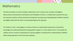### Mathematics

The West Australian Curriculum divides mathematics into 3 content areas: Number and Algebra; Measurement and Geometry and Statistics and Probability. As there is a mathematics specialist this year the classroom teachers will be primarily focussing their learning around developing the children's Number and Algebra skills with the other 2 areas being taught by the specialist.

The children in Year 1 will engage in a variety of hands-on mathematical experiences to build their knowledge and understanding before being guided to apply it in a more abstract form. For example the children will use counters to physically put 2 groups together to develop their understanding of addition before being expected to write and solve equations.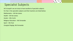## Specialist Subjects

At St Joseph's we are lucky to have excellent of specialist subjects.

For Year 1 the specialist subjects and their teachers are listed below:

Mathematics – *Mr Ken James* 

Health – *Mr Ken James*

Auslan – *Mrs Curtis*

Religious Education – *Ms Fernandez*

Sport – *Ms Frost*

Liturgical Singing- *Ms Fernandez*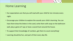### Home Learning

- Our expectations are that you will read with your child for ten minutes every night.
- Encourage your children to explore the sounds your child is learning. You can have them draw the letters in the sand, write them with soap on the bathroom wall, play a game of I spy or have a sound hunt around the house.
- To support their knowledge of numbers, get them to count everything!
- Learning should be fun, and part of their every day life.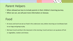### Parent Helpers

- When allowed we love to include parents in their children's learning journey.
- When we can, we will post more information on Seesaw.

## Food

- At recess and lunch we eat our food in the undercover area, before returning our lunchboxes back to our bags and going to play.
- We have Crunch and Sip in the classroom in the morning. Crunch and sip is cut up pieces of fruit or vegetables, crackers and cheese.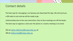## Contact details

The best way for messaging is via Seesaw, just download the App. We will send you a QR code to scan and we will be ready to go.

Unfortunately due to the new restrictions, face to face meetings are off the books.

The best way to organise a chat over the phone or a teams meeting is via email.

1G on [peta.robinson@cewa.edu.au](mailto:peta.robinson@cewa.edu.au) or 1B on [haley.read@cewa.edu.au](mailto:haley.read@cewa.edu.au)